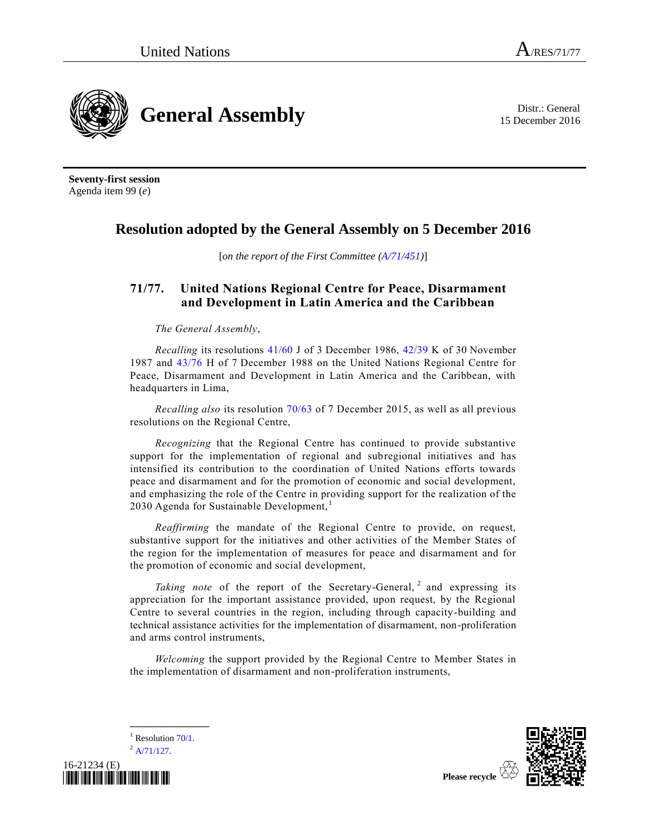15 December 2016



**Seventy-first session** Agenda item 99 (*e*)

## **Resolution adopted by the General Assembly on 5 December 2016**

[*on the report of the First Committee [\(A/71/451\)](http://undocs.org/A/71/451)*]

## **71/77. United Nations Regional Centre for Peace, Disarmament and Development in Latin America and the Caribbean**

*The General Assembly*,

*Recalling* its resolutions [41/60](http://undocs.org/A/RES/41/60) J of 3 December 1986, [42/39](http://undocs.org/A/RES/42/39) K of 30 November 1987 and [43/76](http://undocs.org/A/RES/43/76) H of 7 December 1988 on the United Nations Regional Centre for Peace, Disarmament and Development in Latin America and the Caribbean, with headquarters in Lima,

*Recalling also* its resolution [70/63](http://undocs.org/A/RES/70/63) of 7 December 2015, as well as all previous resolutions on the Regional Centre,

*Recognizing* that the Regional Centre has continued to provide substantive support for the implementation of regional and subregional initiatives and has intensified its contribution to the coordination of United Nations efforts towards peace and disarmament and for the promotion of economic and social development, and emphasizing the role of the Centre in providing support for the realization of the 2030 Agenda for Sustainable Development,<sup>1</sup>

*Reaffirming* the mandate of the Regional Centre to provide, on request, substantive support for the initiatives and other activities of the Member States of the region for the implementation of measures for peace and disarmament and for the promotion of economic and social development,

Taking note of the report of the Secretary-General, <sup>2</sup> and expressing its appreciation for the important assistance provided, upon request, by the Regional Centre to several countries in the region, including through capacity-building and technical assistance activities for the implementation of disarmament, non-proliferation and arms control instruments,

*Welcoming* the support provided by the Regional Centre to Member States in the implementation of disarmament and non-proliferation instruments,

<sup>1</sup> Resolution  $70/1$ .

 $^{2}$  [A/71/127.](http://undocs.org/A/71/127)



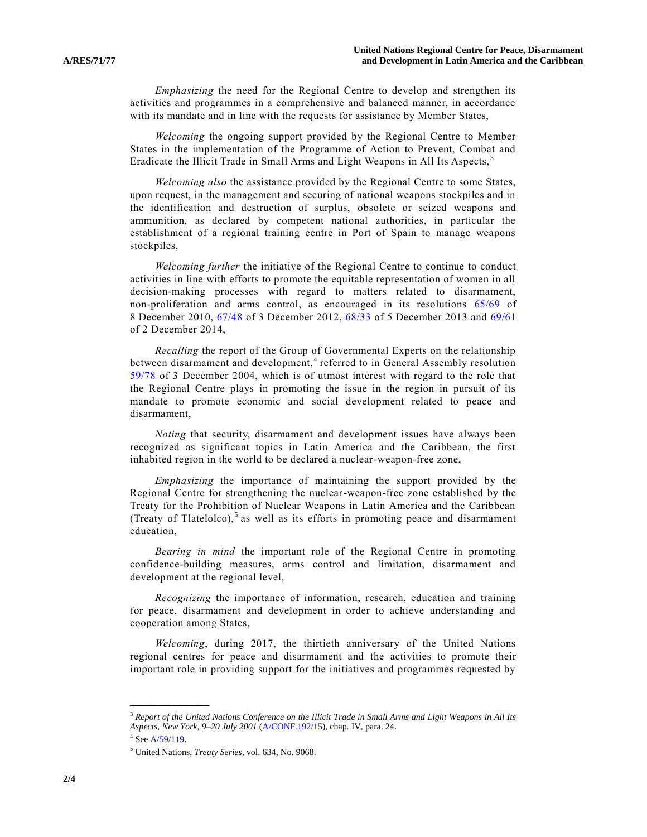*Emphasizing* the need for the Regional Centre to develop and strengthen its activities and programmes in a comprehensive and balanced manner, in accordance with its mandate and in line with the requests for assistance by Member States,

*Welcoming* the ongoing support provided by the Regional Centre to Member States in the implementation of the Programme of Action to Prevent, Combat and Eradicate the Illicit Trade in Small Arms and Light Weapons in All Its Aspects,<sup>3</sup>

<span id="page-1-0"></span>*Welcoming also* the assistance provided by the Regional Centre to some States, upon request, in the management and securing of national weapons stockpiles and in the identification and destruction of surplus, obsolete or seized weapons and ammunition, as declared by competent national authorities, in particular the establishment of a regional training centre in Port of Spain to manage weapons stockpiles,

*Welcoming further* the initiative of the Regional Centre to continue to conduct activities in line with efforts to promote the equitable representation of women in all decision-making processes with regard to matters related to disarmament, non-proliferation and arms control, as encouraged in its resolutions [65/69](http://undocs.org/A/RES/65/69) of 8 December 2010, [67/48](http://undocs.org/A/RES/67/48) of 3 December 2012, [68/33](http://undocs.org/A/RES/68/33) of 5 December 2013 and [69/61](http://undocs.org/A/RES/69/61) of 2 December 2014,

*Recalling* the report of the Group of Governmental Experts on the relationship between disarmament and development,<sup>4</sup> referred to in General Assembly resolution [59/78](http://undocs.org/A/RES/59/78) of 3 December 2004, which is of utmost interest with regard to the role that the Regional Centre plays in promoting the issue in the region in pursuit of its mandate to promote economic and social development related to peace and disarmament,

*Noting* that security, disarmament and development issues have always been recognized as significant topics in Latin America and the Caribbean, the first inhabited region in the world to be declared a nuclear-weapon-free zone,

*Emphasizing* the importance of maintaining the support provided by the Regional Centre for strengthening the nuclear-weapon-free zone established by the Treaty for the Prohibition of Nuclear Weapons in Latin America and the Caribbean (Treaty of Tlatelolco),<sup>5</sup> as well as its efforts in promoting peace and disarmament education,

*Bearing in mind* the important role of the Regional Centre in promoting confidence-building measures, arms control and limitation, disarmament and development at the regional level,

*Recognizing* the importance of information, research, education and training for peace, disarmament and development in order to achieve understanding and cooperation among States,

*Welcoming*, during 2017, the thirtieth anniversary of the United Nations regional centres for peace and disarmament and the activities to promote their important role in providing support for the initiatives and programmes requested by

**\_\_\_\_\_\_\_\_\_\_\_\_\_\_\_**

<sup>3</sup> *Report of the United Nations Conference on the Illicit Trade in Small Arms and Light Weapons in All Its Aspects, New York, 9–20 July 2001* [\(A/CONF.192/15\)](http://undocs.org/A/CONF.192/15), chap. IV, para. 24.

 $4$  See A/59/119.

<sup>5</sup> United Nations, *Treaty Series*, vol. 634, No. 9068.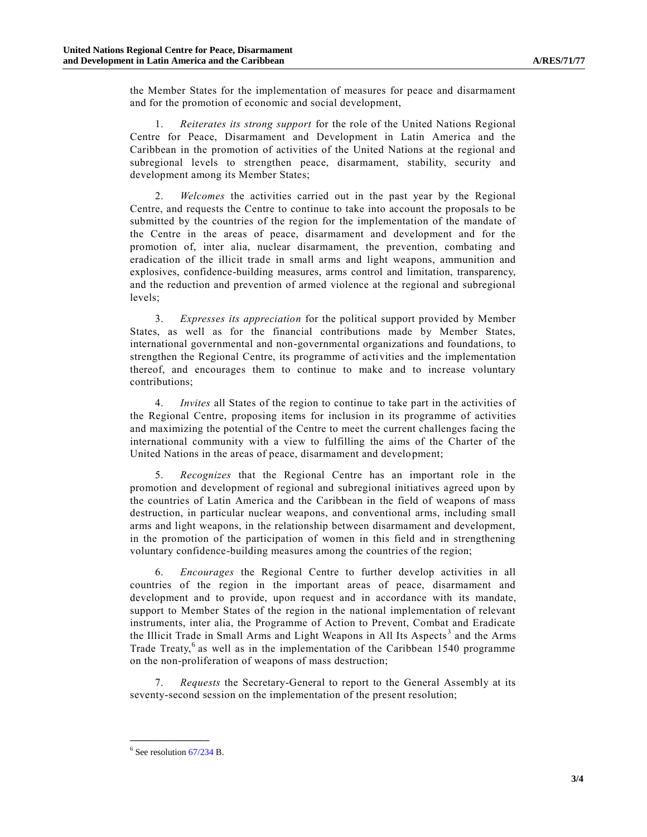the Member States for the implementation of measures for peace and disarmament and for the promotion of economic and social development,

1. *Reiterates its strong support* for the role of the United Nations Regional Centre for Peace, Disarmament and Development in Latin America and the Caribbean in the promotion of activities of the United Nations at the regional and subregional levels to strengthen peace, disarmament, stability, security and development among its Member States;

2. *Welcomes* the activities carried out in the past year by the Regional Centre, and requests the Centre to continue to take into account the proposals to be submitted by the countries of the region for the implementation of the mandate of the Centre in the areas of peace, disarmament and development and for the promotion of, inter alia, nuclear disarmament, the prevention, combating and eradication of the illicit trade in small arms and light weapons, ammunition and explosives, confidence-building measures, arms control and limitation, transparency, and the reduction and prevention of armed violence at the regional and subregional levels;

3. *Expresses its appreciation* for the political support provided by Member States, as well as for the financial contributions made by Member States, international governmental and non-governmental organizations and foundations, to strengthen the Regional Centre, its programme of activities and the implementation thereof, and encourages them to continue to make and to increase voluntary contributions;

4. *Invites* all States of the region to continue to take part in the activities of the Regional Centre, proposing items for inclusion in its programme of activities and maximizing the potential of the Centre to meet the current challenges facing the international community with a view to fulfilling the aims of the Charter of the United Nations in the areas of peace, disarmament and development;

5. *Recognizes* that the Regional Centre has an important role in the promotion and development of regional and subregional initiatives agreed upon by the countries of Latin America and the Caribbean in the field of weapons of mass destruction, in particular nuclear weapons, and conventional arms, including small arms and light weapons, in the relationship between disarmament and development, in the promotion of the participation of women in this field and in strengthening voluntary confidence-building measures among the countries of the region;

6. *Encourages* the Regional Centre to further develop activities in all countries of the region in the important areas of peace, disarmament and development and to provide, upon request and in accordance with its mandate, support to Member States of the region in the national implementation of relevant instruments, inter alia, the Programme of Action to Prevent, Combat and Eradicate the Illicit Trade in Small Arms and Light Weapons in All Its Aspects<sup>[3](#page-1-0)</sup> and the Arms Trade Treaty,<sup>6</sup> as well as in the implementation of the Caribbean 1540 programme on the non-proliferation of weapons of mass destruction;

7. *Requests* the Secretary-General to report to the General Assembly at its seventy-second session on the implementation of the present resolution;

**\_\_\_\_\_\_\_\_\_\_\_\_\_\_\_**

 $<sup>6</sup>$  See resolution  $67/234$  B.</sup>